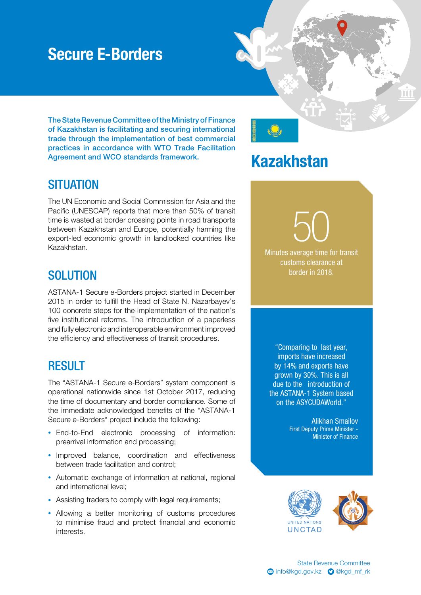### Secure E-Borders

The State Revenue Committee of the Ministry of Finance of Kazakhstan is facilitating and securing international trade through the implementation of best commercial practices in accordance with WTO Trade Facilitation Agreement and WCO standards framework.

#### **SITUATION**

The UN Economic and Social Commission for Asia and the Pacific (UNESCAP) reports that more than 50% of transit time is wasted at border crossing points in road transports between Kazakhstan and Europe, potentially harming the export-led economic growth in landlocked countries like Kazakhstan.

### **SOLUTION**

ASTANA-1 Secure e-Borders project started in December 2015 in order to fulfill the Head of State N. Nazarbayev's 100 concrete steps for the implementation of the nation's five institutional reforms. The introduction of a paperless and fully electronic and interoperable environment improved the efficiency and effectiveness of transit procedures.

#### RESULT

The "ASTANA-1 Secure e-Borders" system component is operational nationwide since 1st October 2017, reducing the time of documentary and border compliance. Some of the immediate acknowledged benefits of the "ASTANA-1 Secure e-Borders" project include the following:

- End-to-End electronic processing of information: prearrival information and processing;
- Improved balance, coordination and effectiveness between trade facilitation and control;
- Automatic exchange of information at national, regional and international level;
- Assisting traders to comply with legal requirements;
- Allowing a better monitoring of customs procedures to minimise fraud and protect financial and economic interests.

# Kazakhstan

50 Minutes average time for transit

customs clearance at border in 2018.

"Comparing to last year, imports have increased by 14% and exports have grown by 30%. This is all due to the introduction of the ASTANA-1 System based on the ASYCUDAWorld."

> Alikhan Smailov First Deputy Prime Minister - Minister of Finance